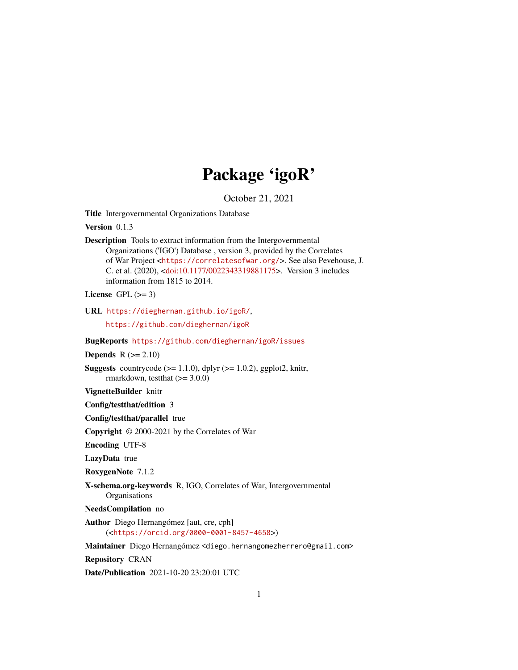# Package 'igoR'

October 21, 2021

<span id="page-0-0"></span>Title Intergovernmental Organizations Database

Version 0.1.3

Description Tools to extract information from the Intergovernmental Organizations ('IGO') Database , version 3, provided by the Correlates of War Project <<https://correlatesofwar.org/>>. See also Pevehouse, J. C. et al. (2020), [<doi:10.1177/0022343319881175>](https://doi.org/10.1177/0022343319881175). Version 3 includes information from 1815 to 2014.

License GPL  $(>= 3)$ 

URL <https://dieghernan.github.io/igoR/>,

<https://github.com/dieghernan/igoR>

BugReports <https://github.com/dieghernan/igoR/issues>

Depends  $R (= 2.10)$ 

**Suggests** countrycode  $(>= 1.1.0)$ , dplyr  $(>= 1.0.2)$ , ggplot2, knitr, rmarkdown, testthat  $(>= 3.0.0)$ 

VignetteBuilder knitr

Config/testthat/edition 3

Config/testthat/parallel true

Copyright © 2000-2021 by the Correlates of War

Encoding UTF-8

LazyData true

RoxygenNote 7.1.2

X-schema.org-keywords R, IGO, Correlates of War, Intergovernmental **Organisations** 

NeedsCompilation no

Author Diego Hernangómez [aut, cre, cph] (<<https://orcid.org/0000-0001-8457-4658>>)

Maintainer Diego Hernangómez <diego.hernangomezherrero@gmail.com>

Repository CRAN

Date/Publication 2021-10-20 23:20:01 UTC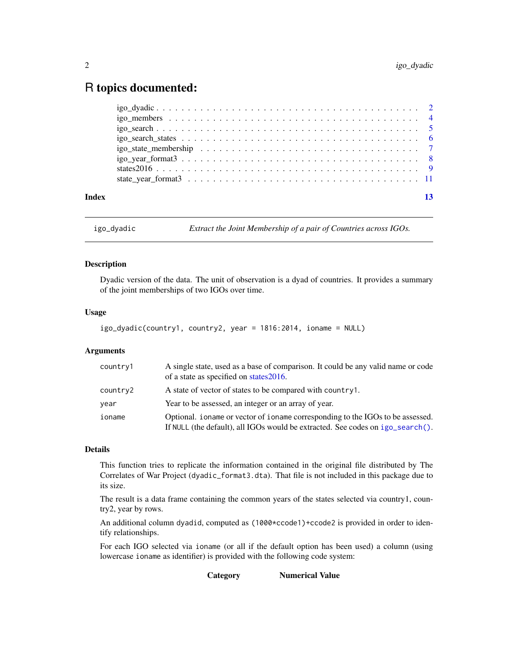# <span id="page-1-0"></span>R topics documented:

| Index |  |
|-------|--|
|       |  |
|       |  |
|       |  |
|       |  |
|       |  |
|       |  |
|       |  |
|       |  |

igo\_dyadic *Extract the Joint Membership of a pair of Countries across IGOs.*

#### Description

Dyadic version of the data. The unit of observation is a dyad of countries. It provides a summary of the joint memberships of two IGOs over time.

#### Usage

```
igo_dyadic(country1, country2, year = 1816:2014, ioname = NULL)
```
#### Arguments

| country1 | A single state, used as a base of comparison. It could be any valid name or code<br>of a state as specified on states 2016.                                        |
|----------|--------------------------------------------------------------------------------------------------------------------------------------------------------------------|
| country2 | A state of vector of states to be compared with country1.                                                                                                          |
| year     | Year to be assessed, an integer or an array of year.                                                                                                               |
| ioname   | Optional, i oname or vector of i oname corresponding to the IGOs to be assessed.<br>If NULL (the default), all IGOs would be extracted. See codes on igo_search(). |

# Details

This function tries to replicate the information contained in the original file distributed by The Correlates of War Project (dyadic\_format3.dta). That file is not included in this package due to its size.

The result is a data frame containing the common years of the states selected via country1, country2, year by rows.

An additional column dyadid, computed as (1000\*ccode1)+ccode2 is provided in order to identify relationships.

For each IGO selected via ioname (or all if the default option has been used) a column (using lowercase ioname as identifier) is provided with the following code system:

Category Numerical Value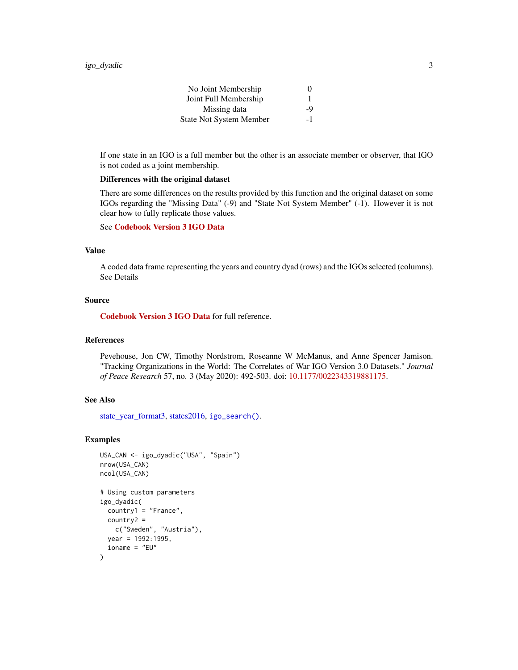| No Joint Membership            | $\theta$ |
|--------------------------------|----------|
| Joint Full Membership          |          |
| Missing data                   | $-9$     |
| <b>State Not System Member</b> | -1       |

<span id="page-2-0"></span>If one state in an IGO is a full member but the other is an associate member or observer, that IGO is not coded as a joint membership.

#### Differences with the original dataset

There are some differences on the results provided by this function and the original dataset on some IGOs regarding the "Missing Data" (-9) and "State Not System Member" (-1). However it is not clear how to fully replicate those values.

# See [Codebook Version 3 IGO Data](https://correlatesofwar.org/data-sets/IGOs)

#### Value

A coded data frame representing the years and country dyad (rows) and the IGOs selected (columns). See Details

#### Source

[Codebook Version 3 IGO Data](https://correlatesofwar.org/data-sets/IGOs) for full reference.

# References

Pevehouse, Jon CW, Timothy Nordstrom, Roseanne W McManus, and Anne Spencer Jamison. "Tracking Organizations in the World: The Correlates of War IGO Version 3.0 Datasets." *Journal of Peace Research* 57, no. 3 (May 2020): 492-503. doi: [10.1177/0022343319881175.](https://doi.org/10.1177/0022343319881175)

# See Also

[state\\_year\\_format3,](#page-10-1) [states2016,](#page-8-1) [igo\\_search\(\)](#page-4-1).

#### Examples

```
USA_CAN <- igo_dyadic("USA", "Spain")
nrow(USA_CAN)
ncol(USA_CAN)
# Using custom parameters
igo_dyadic(
 country1 = "France",
 country2 =
   c("Sweden", "Austria"),
 year = 1992:1995,
 ioname = "EU"
\mathcal{L}
```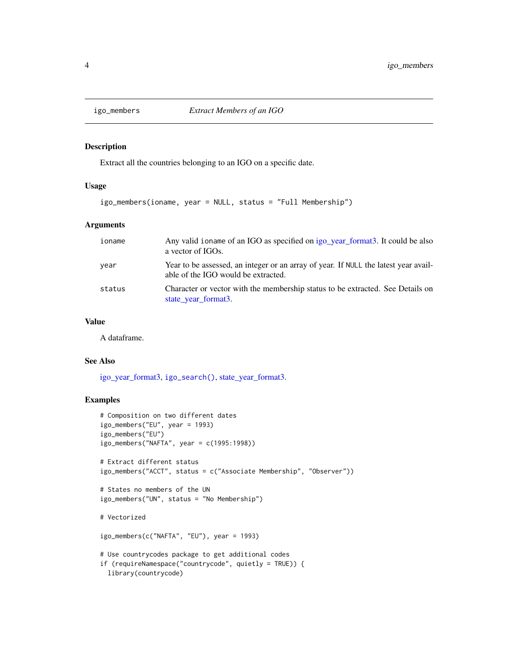<span id="page-3-0"></span>

#### Description

Extract all the countries belonging to an IGO on a specific date.

# Usage

```
igo_members(ioname, year = NULL, status = "Full Membership")
```
#### Arguments

| ioname | Any valid ioname of an IGO as specified on igo_year_format3. It could be also<br>a vector of IGOs.                         |
|--------|----------------------------------------------------------------------------------------------------------------------------|
| year   | Year to be assessed, an integer or an array of year. If NULL the latest year avail-<br>able of the IGO would be extracted. |
| status | Character or vector with the membership status to be extracted. See Details on<br>state_year_format3.                      |

# Value

A dataframe.

# See Also

[igo\\_year\\_format3,](#page-7-1) [igo\\_search\(\)](#page-4-1), [state\\_year\\_format3.](#page-10-1)

# Examples

```
# Composition on two different dates
igo_members("EU", year = 1993)
igo_members("EU")
igo_members("NAFTA", year = c(1995:1998))
# Extract different status
igo_members("ACCT", status = c("Associate Membership", "Observer"))
# States no members of the UN
igo_members("UN", status = "No Membership")
# Vectorized
igo_members(c("NAFTA", "EU"), year = 1993)
# Use countrycodes package to get additional codes
if (requireNamespace("countrycode", quietly = TRUE)) {
 library(countrycode)
```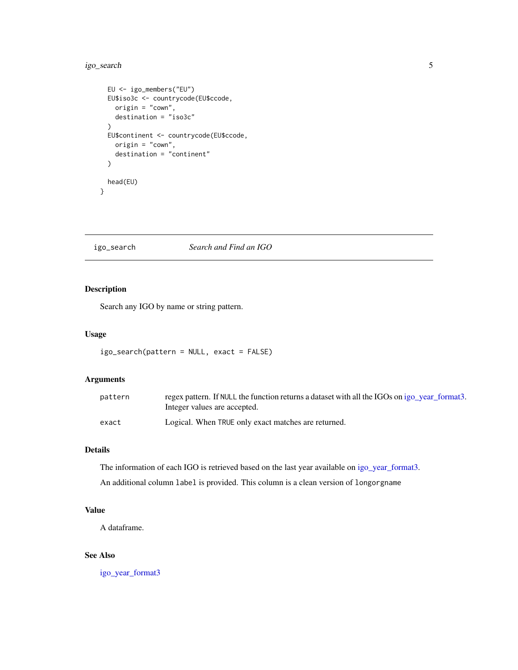# <span id="page-4-0"></span>igo\_search 5

```
EU <- igo_members("EU")
 EU$iso3c <- countrycode(EU$ccode,
   origin = "cown",
   destination = "iso3c"
 )
 EU$continent <- countrycode(EU$ccode,
   origin = "cown",
   destination = "continent"
 \lambdahead(EU)
}
```
<span id="page-4-1"></span>igo\_search *Search and Find an IGO*

# Description

Search any IGO by name or string pattern.

#### Usage

```
igo_search(pattern = NULL, exact = FALSE)
```
#### Arguments

| pattern | regex pattern. If NULL the function returns a dataset with all the IGOs on igo year format3.<br>Integer values are accepted. |
|---------|------------------------------------------------------------------------------------------------------------------------------|
| exact   | Logical. When TRUE only exact matches are returned.                                                                          |

# Details

The information of each IGO is retrieved based on the last year available on [igo\\_year\\_format3.](#page-7-1)

An additional column label is provided. This column is a clean version of longorgname

# Value

A dataframe.

# See Also

[igo\\_year\\_format3](#page-7-1)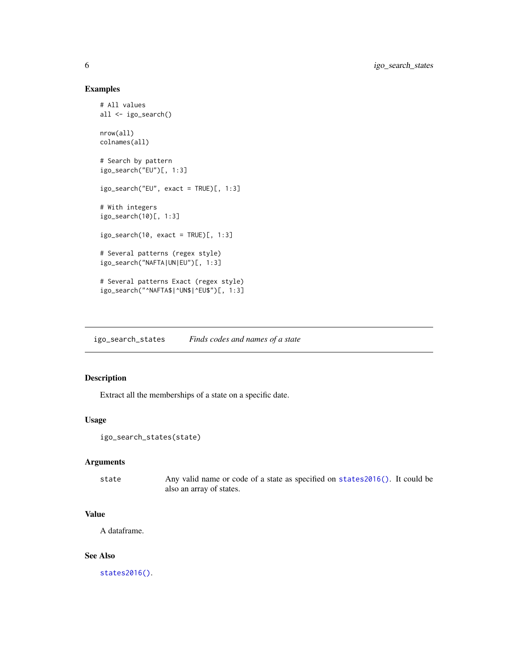# Examples

```
# All values
all <- igo_search()
nrow(all)
colnames(all)
# Search by pattern
igo_search("EU")[, 1:3]
igo_search("EU", exact = TRUE)[, 1:3]
# With integers
igo_search(10)[, 1:3]
igo_search(10, exact = TRUE)[, 1:3]
# Several patterns (regex style)
igo_search("NAFTA|UN|EU")[, 1:3]
# Several patterns Exact (regex style)
igo_search("^NAFTA$|^UN$|^EU$")[, 1:3]
```
<span id="page-5-1"></span>igo\_search\_states *Finds codes and names of a state*

# Description

Extract all the memberships of a state on a specific date.

#### Usage

```
igo_search_states(state)
```
### Arguments

state Any valid name or code of a state as specified on [states2016\(\)](#page-8-1). It could be also an array of states.

### Value

A dataframe.

#### See Also

[states2016\(\)](#page-8-1).

<span id="page-5-0"></span>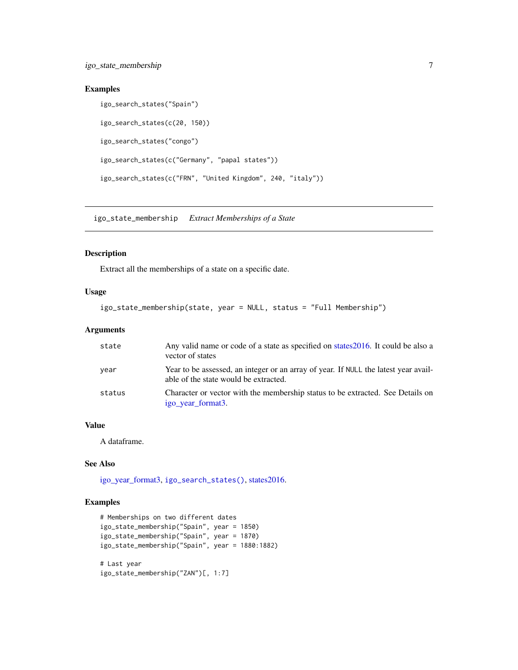# <span id="page-6-0"></span>Examples

```
igo_search_states("Spain")
igo_search_states(c(20, 150))
igo_search_states("congo")
igo_search_states(c("Germany", "papal states"))
igo_search_states(c("FRN", "United Kingdom", 240, "italy"))
```
igo\_state\_membership *Extract Memberships of a State*

# Description

Extract all the memberships of a state on a specific date.

#### Usage

```
igo_state_membership(state, year = NULL, status = "Full Membership")
```
#### Arguments

| state  | Any valid name or code of a state as specified on states 2016. It could be also a<br>vector of states                        |
|--------|------------------------------------------------------------------------------------------------------------------------------|
| year   | Year to be assessed, an integer or an array of year. If NULL the latest year avail-<br>able of the state would be extracted. |
| status | Character or vector with the membership status to be extracted. See Details on<br>igo_year_format3.                          |

#### Value

A dataframe.

# See Also

[igo\\_year\\_format3,](#page-7-1) [igo\\_search\\_states\(\)](#page-5-1), [states2016.](#page-8-1)

# Examples

```
# Memberships on two different dates
igo_state_membership("Spain", year = 1850)
igo_state_membership("Spain", year = 1870)
igo_state_membership("Spain", year = 1880:1882)
# Last year
igo_state_membership("ZAN")[, 1:7]
```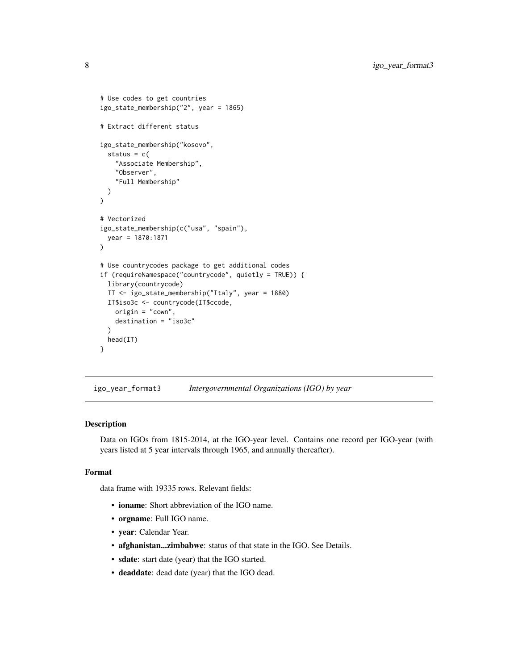```
# Use codes to get countries
igo_state_membership("2", year = 1865)
# Extract different status
igo_state_membership("kosovo",
 status = c("Associate Membership",
    "Observer",
    "Full Membership"
 )
\mathcal{L}# Vectorized
igo_state_membership(c("usa", "spain"),
 year = 1870:1871
)
# Use countrycodes package to get additional codes
if (requireNamespace("countrycode", quietly = TRUE)) {
 library(countrycode)
 IT <- igo_state_membership("Italy", year = 1880)
 IT$iso3c <- countrycode(IT$ccode,
   origin = "cown",
    destination = "iso3c"
 \big)head(IT)
}
```
<span id="page-7-1"></span>igo\_year\_format3 *Intergovernmental Organizations (IGO) by year*

#### Description

Data on IGOs from 1815-2014, at the IGO-year level. Contains one record per IGO-year (with years listed at 5 year intervals through 1965, and annually thereafter).

# Format

data frame with 19335 rows. Relevant fields:

- ioname: Short abbreviation of the IGO name.
- orgname: Full IGO name.
- year: Calendar Year.
- afghanistan...zimbabwe: status of that state in the IGO. See Details.
- sdate: start date (year) that the IGO started.
- deaddate: dead date (year) that the IGO dead.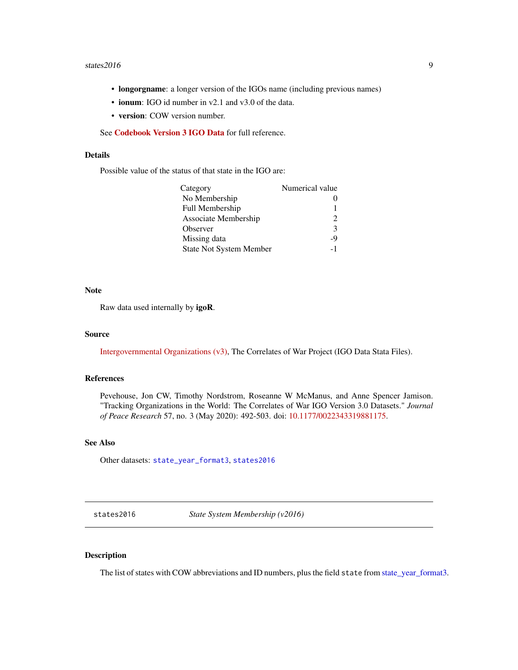#### <span id="page-8-0"></span>states  $2016$  9

- **longorgname**: a longer version of the IGOs name (including previous names)
- ionum: IGO id number in v2.1 and v3.0 of the data.
- version: COW version number.

See [Codebook Version 3 IGO Data](https://correlatesofwar.org/data-sets/IGOs) for full reference.

## Details

Possible value of the status of that state in the IGO are:

| Category                       | Numerical value             |
|--------------------------------|-----------------------------|
| No Membership                  |                             |
| Full Membership                |                             |
| Associate Membership           | $\mathcal{D}_{\mathcal{A}}$ |
| Observer                       | 3                           |
| Missing data                   | -9                          |
| <b>State Not System Member</b> | $-1$                        |

#### Note

Raw data used internally by igoR.

#### Source

[Intergovernmental Organizations \(v3\),](https://correlatesofwar.org/data-sets/IGOs) The Correlates of War Project (IGO Data Stata Files).

### References

Pevehouse, Jon CW, Timothy Nordstrom, Roseanne W McManus, and Anne Spencer Jamison. "Tracking Organizations in the World: The Correlates of War IGO Version 3.0 Datasets." *Journal of Peace Research* 57, no. 3 (May 2020): 492-503. doi: [10.1177/0022343319881175.](https://doi.org/10.1177/0022343319881175)

# See Also

Other datasets: [state\\_year\\_format3](#page-10-1), [states2016](#page-8-1)

<span id="page-8-1"></span>states2016 *State System Membership (v2016)*

#### Description

The list of states with COW abbreviations and ID numbers, plus the field state from [state\\_year\\_format3.](#page-10-1)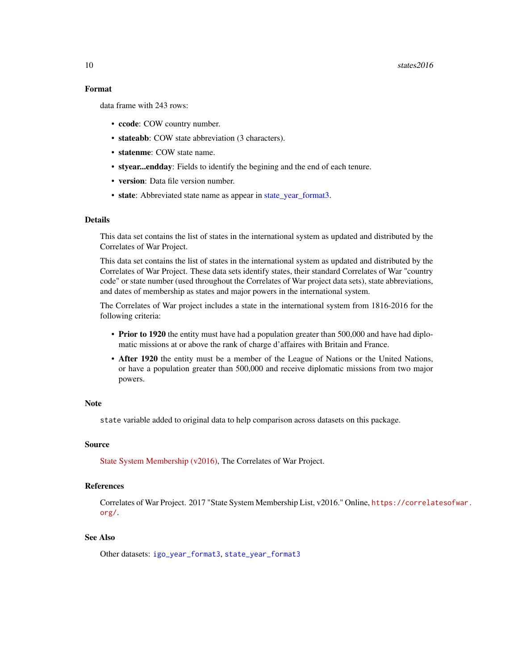# Format

data frame with 243 rows:

- ccode: COW country number.
- stateabb: COW state abbreviation (3 characters).
- statenme: COW state name.
- styear...endday: Fields to identify the begining and the end of each tenure.
- version: Data file version number.
- state: Abbreviated state name as appear in [state\\_year\\_format3.](#page-10-1)

# Details

This data set contains the list of states in the international system as updated and distributed by the Correlates of War Project.

This data set contains the list of states in the international system as updated and distributed by the Correlates of War Project. These data sets identify states, their standard Correlates of War "country code" or state number (used throughout the Correlates of War project data sets), state abbreviations, and dates of membership as states and major powers in the international system.

The Correlates of War project includes a state in the international system from 1816-2016 for the following criteria:

- Prior to 1920 the entity must have had a population greater than 500,000 and have had diplomatic missions at or above the rank of charge d'affaires with Britain and France.
- After 1920 the entity must be a member of the League of Nations or the United Nations, or have a population greater than 500,000 and receive diplomatic missions from two major powers.

#### **Note**

state variable added to original data to help comparison across datasets on this package.

#### Source

[State System Membership \(v2016\),](https://correlatesofwar.org/data-sets/state-system-membership) The Correlates of War Project.

# References

Correlates of War Project. 2017 "State System Membership List, v2016." Online, [https://correla](https://correlatesofwar.org/)tesofwar. [org/](https://correlatesofwar.org/).

# See Also

Other datasets: [igo\\_year\\_format3](#page-7-1), [state\\_year\\_format3](#page-10-1)

<span id="page-9-0"></span>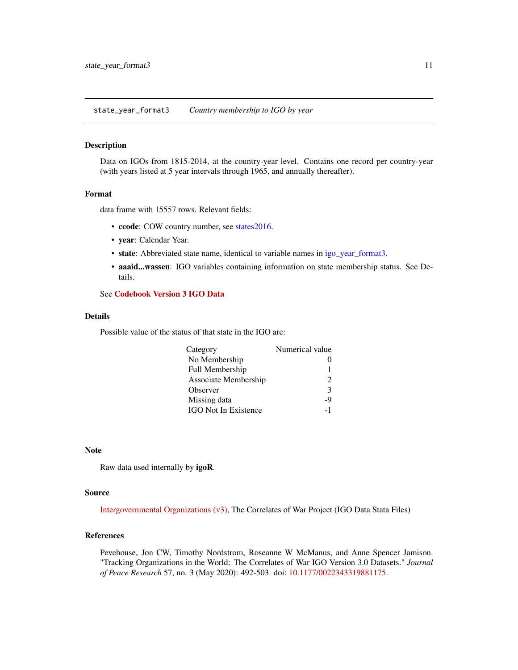<span id="page-10-1"></span><span id="page-10-0"></span>state\_year\_format3 *Country membership to IGO by year*

#### Description

Data on IGOs from 1815-2014, at the country-year level. Contains one record per country-year (with years listed at 5 year intervals through 1965, and annually thereafter).

#### Format

data frame with 15557 rows. Relevant fields:

- ccode: COW country number, see [states2016.](#page-8-1)
- year: Calendar Year.
- state: Abbreviated state name, identical to variable names in [igo\\_year\\_format3.](#page-7-1)
- aaaid...wassen: IGO variables containing information on state membership status. See Details.

# See [Codebook Version 3 IGO Data](https://correlatesofwar.org/data-sets/IGOs)

#### Details

Possible value of the status of that state in the IGO are:

| Category                    | Numerical value             |
|-----------------------------|-----------------------------|
| No Membership               |                             |
| Full Membership             | 1                           |
| Associate Membership        | $\mathcal{D}_{\mathcal{A}}$ |
| Observer                    | 3                           |
| Missing data                | -9                          |
| <b>IGO</b> Not In Existence | $-1$                        |

#### Note

Raw data used internally by igoR.

#### Source

[Intergovernmental Organizations \(v3\),](https://correlatesofwar.org/data-sets/IGOs) The Correlates of War Project (IGO Data Stata Files)

#### References

Pevehouse, Jon CW, Timothy Nordstrom, Roseanne W McManus, and Anne Spencer Jamison. "Tracking Organizations in the World: The Correlates of War IGO Version 3.0 Datasets." *Journal of Peace Research* 57, no. 3 (May 2020): 492-503. doi: [10.1177/0022343319881175.](https://doi.org/10.1177/0022343319881175)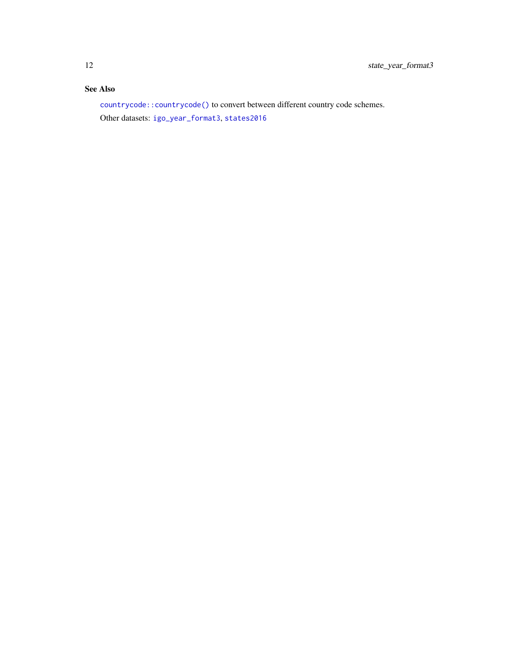# <span id="page-11-0"></span>See Also

[countrycode::countrycode\(\)](#page-0-0) to convert between different country code schemes. Other datasets: [igo\\_year\\_format3](#page-7-1), [states2016](#page-8-1)